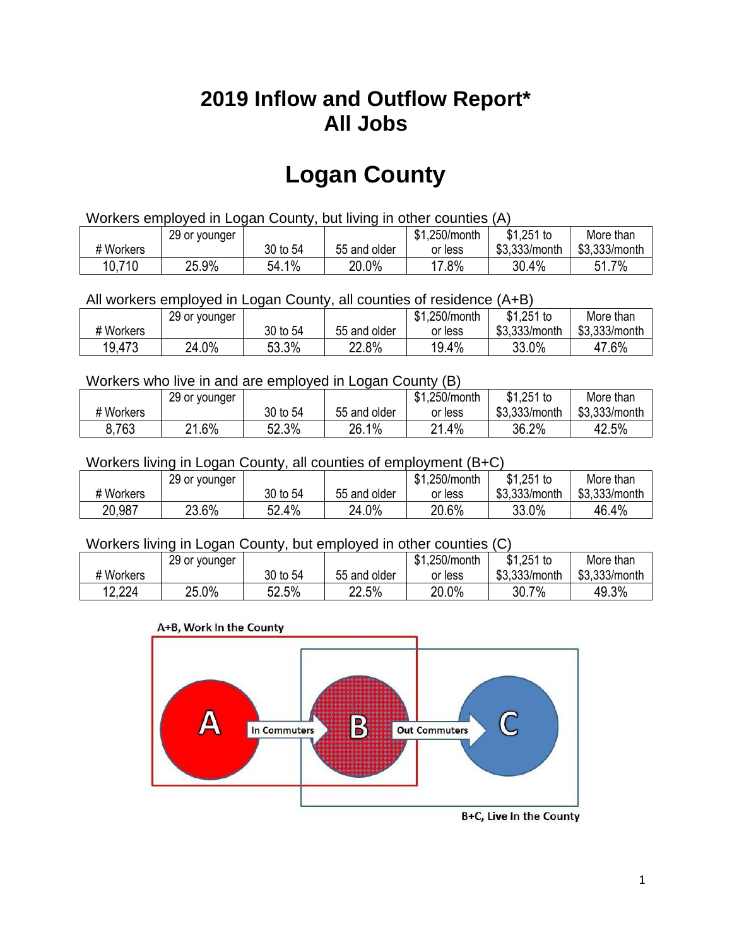## **2019 Inflow and Outflow Report\* All Jobs**

# **Logan County**

| Workers employed in Logan County, but living in other counties (A) |                                                            |          |              |         |               |               |  |  |  |
|--------------------------------------------------------------------|------------------------------------------------------------|----------|--------------|---------|---------------|---------------|--|--|--|
|                                                                    | $$1,251$ to<br>\$1,250/month<br>29 or younger<br>More than |          |              |         |               |               |  |  |  |
| # Workers                                                          |                                                            | 30 to 54 | 55 and older | or less | \$3.333/month | \$3,333/month |  |  |  |
| 10,710                                                             | 25.9%                                                      | 54.1%    | 20.0%        | 17.8%   | 30.4%         | 51.7%         |  |  |  |

All workers employed in Logan County, all counties of residence (A+B)

|           | 29 or younger |          |              | \$1,250/month | $$1,251$ to   | More than     |
|-----------|---------------|----------|--------------|---------------|---------------|---------------|
| # Workers |               | 30 to 54 | 55 and older | or less       | \$3,333/month | \$3,333/month |
| 19,473    | 24.0%         | 53.3%    | 22.8%        | 19.4%         | 33.0%         | 47.6%         |

#### Workers who live in and are employed in Logan County (B)

|           | 29 or younger |          |              | \$1,250/month | $$1,251$ to   | More than     |
|-----------|---------------|----------|--------------|---------------|---------------|---------------|
| # Workers |               | 30 to 54 | 55 and older | or less       | \$3,333/month | \$3,333/month |
| 8,763     | .6%<br>ິດ 4   | 52.3%    | 26.1%        | .4%<br>າ 1    | 36.2%         | 42.5%         |

#### Workers living in Logan County, all counties of employment (B+C)

|           | 29 or younger |          |              | \$1<br>.250/month | $$1,251$ to   | More than     |
|-----------|---------------|----------|--------------|-------------------|---------------|---------------|
| # Workers |               | 30 to 54 | 55 and older | or less           | \$3,333/month | \$3,333/month |
| 20,987    | 23.6%         | 52.4%    | 24.0%        | 20.6%             | 33.0%         | 46.4%         |

#### Workers living in Logan County, but employed in other counties (C)

|           | 29 or younger |          |              | \$1,250/month | $$1,251$ to   | More than     |
|-----------|---------------|----------|--------------|---------------|---------------|---------------|
| # Workers |               | 30 to 54 | 55 and older | or less       | \$3,333/month | \$3,333/month |
| 12,224    | 25.0%         | 52.5%    | 22.5%        | 20.0%         | 30.7<br>7%    | 49.3%         |

#### A+B, Work In the County